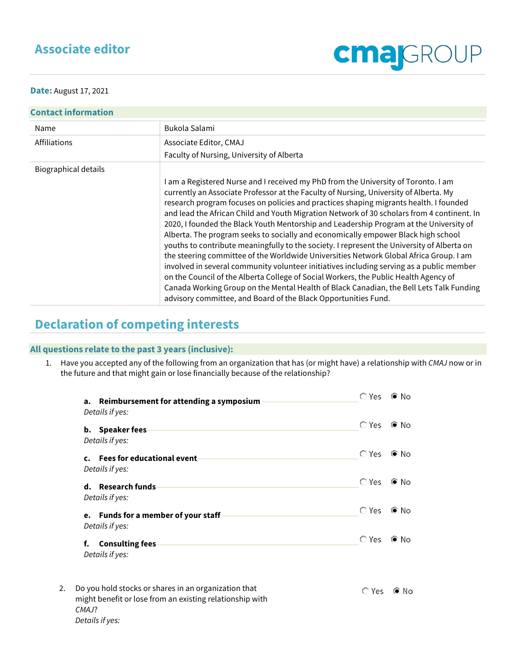## **Associate editor**



**Date:** August 17, 2021

| <b>Contact information</b> |                                                                                                                                                                                                                                                                                                                                                                                                                                                                                                                                                                                                                                                                                                                                                                                                                                                                                                                                                                                                                                                                                            |  |  |  |
|----------------------------|--------------------------------------------------------------------------------------------------------------------------------------------------------------------------------------------------------------------------------------------------------------------------------------------------------------------------------------------------------------------------------------------------------------------------------------------------------------------------------------------------------------------------------------------------------------------------------------------------------------------------------------------------------------------------------------------------------------------------------------------------------------------------------------------------------------------------------------------------------------------------------------------------------------------------------------------------------------------------------------------------------------------------------------------------------------------------------------------|--|--|--|
| Name                       | Bukola Salami                                                                                                                                                                                                                                                                                                                                                                                                                                                                                                                                                                                                                                                                                                                                                                                                                                                                                                                                                                                                                                                                              |  |  |  |
| Affiliations               | Associate Editor, CMAJ                                                                                                                                                                                                                                                                                                                                                                                                                                                                                                                                                                                                                                                                                                                                                                                                                                                                                                                                                                                                                                                                     |  |  |  |
|                            | Faculty of Nursing, University of Alberta                                                                                                                                                                                                                                                                                                                                                                                                                                                                                                                                                                                                                                                                                                                                                                                                                                                                                                                                                                                                                                                  |  |  |  |
| Biographical details       |                                                                                                                                                                                                                                                                                                                                                                                                                                                                                                                                                                                                                                                                                                                                                                                                                                                                                                                                                                                                                                                                                            |  |  |  |
|                            | I am a Registered Nurse and I received my PhD from the University of Toronto. I am<br>currently an Associate Professor at the Faculty of Nursing, University of Alberta. My<br>research program focuses on policies and practices shaping migrants health. I founded<br>and lead the African Child and Youth Migration Network of 30 scholars from 4 continent. In<br>2020, I founded the Black Youth Mentorship and Leadership Program at the University of<br>Alberta. The program seeks to socially and economically empower Black high school<br>youths to contribute meaningfully to the society. I represent the University of Alberta on<br>the steering committee of the Worldwide Universities Network Global Africa Group. I am<br>involved in several community volunteer initiatives including serving as a public member<br>on the Council of the Alberta College of Social Workers, the Public Health Agency of<br>Canada Working Group on the Mental Health of Black Canadian, the Bell Lets Talk Funding<br>advisory committee, and Board of the Black Opportunities Fund. |  |  |  |

## **Declaration of competing interests**

## **All questions relate to the past 3 years (inclusive):**

1. Have you accepted any of the following from an organization that has (or might have) a relationship with *CMAJ* now or in the future and that might gain or lose financially because of the relationship?

|    | a. Reimbursement for attending a symposium<br>Details if yes:                                                                                | <b>O</b> Yes | © No  |
|----|----------------------------------------------------------------------------------------------------------------------------------------------|--------------|-------|
|    | <b>b.</b> Speaker fees<br>Details if yes:                                                                                                    | ○ Yes        | © No  |
|    | c. Fees for educational event<br>Details if yes:                                                                                             | ○ Yes        | © No  |
|    | d. Research funds<br>Details if yes:                                                                                                         | ○ Yes        | © No  |
|    | <b>Funds for a member of your staff-</b><br>e.<br>Details if yes:                                                                            | ○ Yes        | © No  |
|    | <b>Consulting fees</b><br>f.<br>Details if yes:                                                                                              | ○ Yes        | © No  |
| 2. | Do you hold stocks or shares in an organization that<br>might benefit or lose from an existing relationship with<br>CMA.I<br>Details if yes: | ◯ Yes        | (● No |